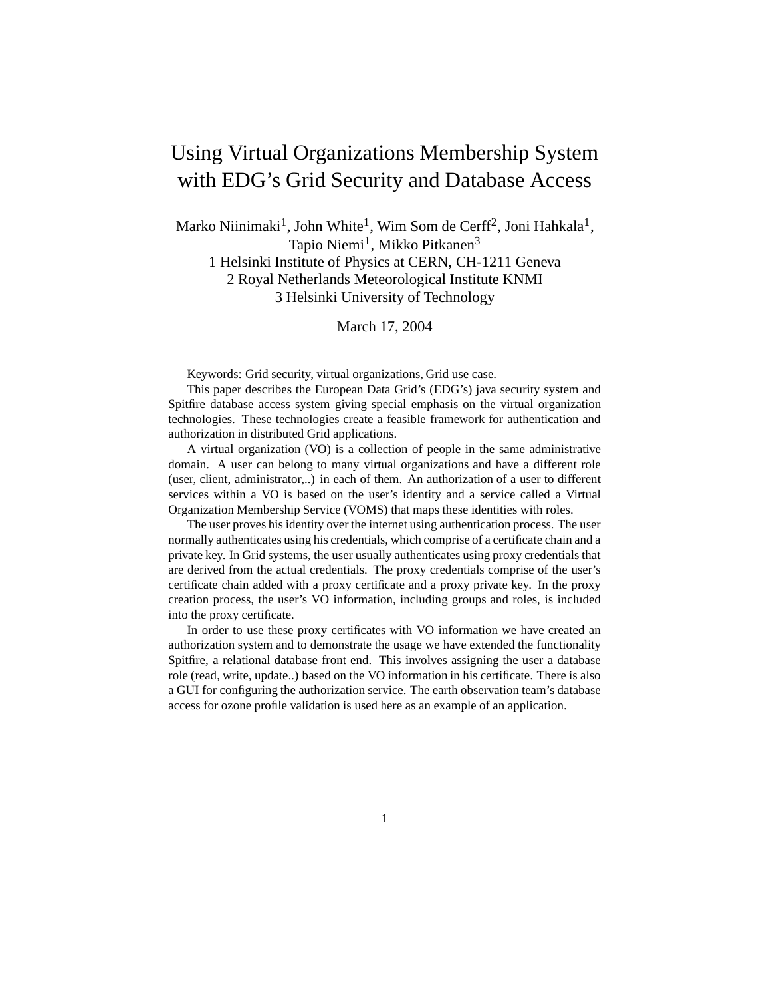# Using Virtual Organizations Membership System with EDG's Grid Security and Database Access

Marko Niinimaki<sup>1</sup>, John White<sup>1</sup>, Wim Som de Cerff<sup>2</sup>, Joni Hahkala<sup>1</sup>, Tapio Niemi<sup>1</sup>, Mikko Pitkanen<sup>3</sup>

1 Helsinki Institute of Physics at CERN, CH-1211 Geneva 2 Royal Netherlands Meteorological Institute KNMI 3 Helsinki University of Technology

March 17, 2004

Keywords: Grid security, virtual organizations, Grid use case.

This paper describes the European Data Grid's (EDG's) java security system and Spitfire database access system giving special emphasis on the virtual organization technologies. These technologies create a feasible framework for authentication and authorization in distributed Grid applications.

A virtual organization (VO) is a collection of people in the same administrative domain. A user can belong to many virtual organizations and have a different role (user, client, administrator,..) in each of them. An authorization of a user to different services within a VO is based on the user's identity and a service called a Virtual Organization Membership Service (VOMS) that maps these identities with roles.

The user proves his identity over the internet using authentication process. The user normally authenticates using his credentials, which comprise of a certificate chain and a private key. In Grid systems, the user usually authenticates using proxy credentials that are derived from the actual credentials. The proxy credentials comprise of the user's certificate chain added with a proxy certificate and a proxy private key. In the proxy creation process, the user's VO information, including groups and roles, is included into the proxy certificate.

In order to use these proxy certificates with VO information we have created an authorization system and to demonstrate the usage we have extended the functionality Spitfire, a relational database front end. This involves assigning the user a database role (read, write, update..) based on the VO information in his certificate. There is also a GUI for configuring the authorization service. The earth observation team's database access for ozone profile validation is used here as an example of an application.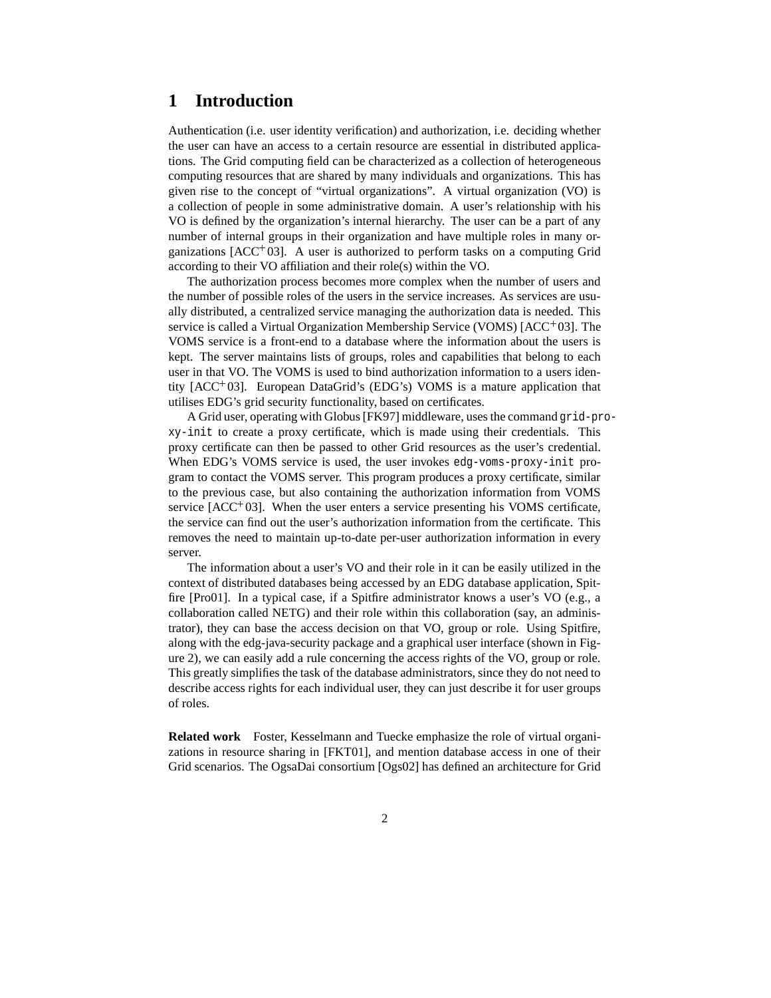## **1 Introduction**

Authentication (i.e. user identity verification) and authorization, i.e. deciding whether the user can have an access to a certain resource are essential in distributed applications. The Grid computing field can be characterized as a collection of heterogeneous computing resources that are shared by many individuals and organizations. This has given rise to the concept of "virtual organizations". A virtual organization (VO) is a collection of people in some administrative domain. A user's relationship with his VO is defined by the organization's internal hierarchy. The user can be a part of any number of internal groups in their organization and have multiple roles in many organizations [ACC 03]. A user is authorized to perform tasks on a computing Grid according to their VO affiliation and their role(s) within the VO.

The authorization process becomes more complex when the number of users and the number of possible roles of the users in the service increases. As services are usually distributed, a centralized service managing the authorization data is needed. This service is called a Virtual Organization Membership Service (VOMS) [ACC+03]. The VOMS service is a front-end to a database where the information about the users is kept. The server maintains lists of groups, roles and capabilities that belong to each user in that VO. The VOMS is used to bind authorization information to a users identity [ACC 03]. European DataGrid's (EDG's) VOMS is a mature application that utilises EDG's grid security functionality, based on certificates.

A Grid user, operating with Globus[FK97] middleware, uses the command grid-proxy-init to create a proxy certificate, which is made using their credentials. This proxy certificate can then be passed to other Grid resources as the user's credential. When EDG's VOMS service is used, the user invokes edg-voms-proxy-init program to contact the VOMS server. This program produces a proxy certificate, similar to the previous case, but also containing the authorization information from VOMS service  $[ACC^+03]$ . When the user enters a service presenting his VOMS certificate, the service can find out the user's authorization information from the certificate. This removes the need to maintain up-to-date per-user authorization information in every server.

The information about a user's VO and their role in it can be easily utilized in the context of distributed databases being accessed by an EDG database application, Spitfire [Pro01]. In a typical case, if a Spitfire administrator knows a user's VO (e.g., a collaboration called NETG) and their role within this collaboration (say, an administrator), they can base the access decision on that VO, group or role. Using Spitfire, along with the edg-java-security package and a graphical user interface (shown in Figure 2), we can easily add a rule concerning the access rights of the VO, group or role. This greatly simplifies the task of the database administrators, since they do not need to describe access rights for each individual user, they can just describe it for user groups of roles.

**Related work** Foster, Kesselmann and Tuecke emphasize the role of virtual organizations in resource sharing in [FKT01], and mention database access in one of their Grid scenarios. The OgsaDai consortium [Ogs02] has defined an architecture for Grid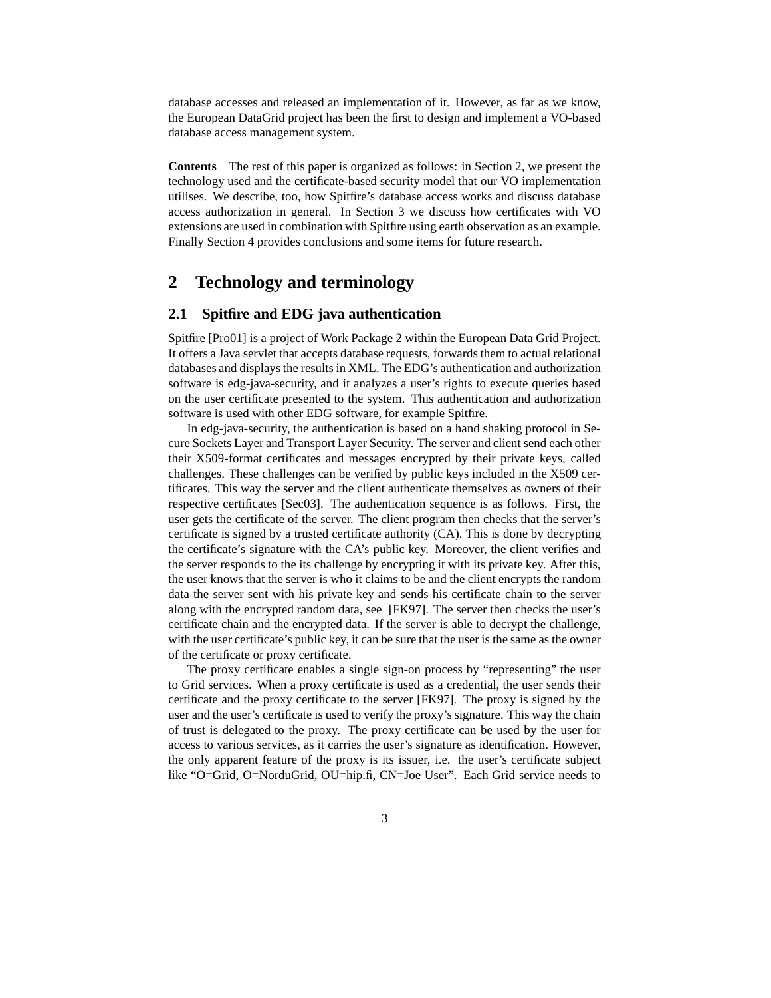database accesses and released an implementation of it. However, as far as we know, the European DataGrid project has been the first to design and implement a VO-based database access management system.

**Contents** The rest of this paper is organized as follows: in Section 2, we present the technology used and the certificate-based security model that our VO implementation utilises. We describe, too, how Spitfire's database access works and discuss database access authorization in general. In Section 3 we discuss how certificates with VO extensions are used in combination with Spitfire using earth observation as an example. Finally Section 4 provides conclusions and some items for future research.

# **2 Technology and terminology**

### **2.1 Spitfire and EDG java authentication**

Spitfire [Pro01] is a project of Work Package 2 within the European Data Grid Project. It offers a Java servlet that accepts database requests, forwards them to actual relational databases and displays the results in XML. The EDG's authentication and authorization software is edg-java-security, and it analyzes a user's rights to execute queries based on the user certificate presented to the system. This authentication and authorization software is used with other EDG software, for example Spitfire.

In edg-java-security, the authentication is based on a hand shaking protocol in Secure Sockets Layer and Transport Layer Security. The server and client send each other their X509-format certificates and messages encrypted by their private keys, called challenges. These challenges can be verified by public keys included in the X509 certificates. This way the server and the client authenticate themselves as owners of their respective certificates [Sec03]. The authentication sequence is as follows. First, the user gets the certificate of the server. The client program then checks that the server's certificate is signed by a trusted certificate authority (CA). This is done by decrypting the certificate's signature with the CA's public key. Moreover, the client verifies and the server responds to the its challenge by encrypting it with its private key. After this, the user knows that the server is who it claims to be and the client encrypts the random data the server sent with his private key and sends his certificate chain to the server along with the encrypted random data, see [FK97]. The server then checks the user's certificate chain and the encrypted data. If the server is able to decrypt the challenge, with the user certificate's public key, it can be sure that the user is the same as the owner of the certificate or proxy certificate.

The proxy certificate enables a single sign-on process by "representing" the user to Grid services. When a proxy certificate is used as a credential, the user sends their certificate and the proxy certificate to the server [FK97]. The proxy is signed by the user and the user's certificate is used to verify the proxy's signature. This way the chain of trust is delegated to the proxy. The proxy certificate can be used by the user for access to various services, as it carries the user's signature as identification. However, the only apparent feature of the proxy is its issuer, i.e. the user's certificate subject like "O=Grid, O=NorduGrid, OU=hip.fi, CN=Joe User". Each Grid service needs to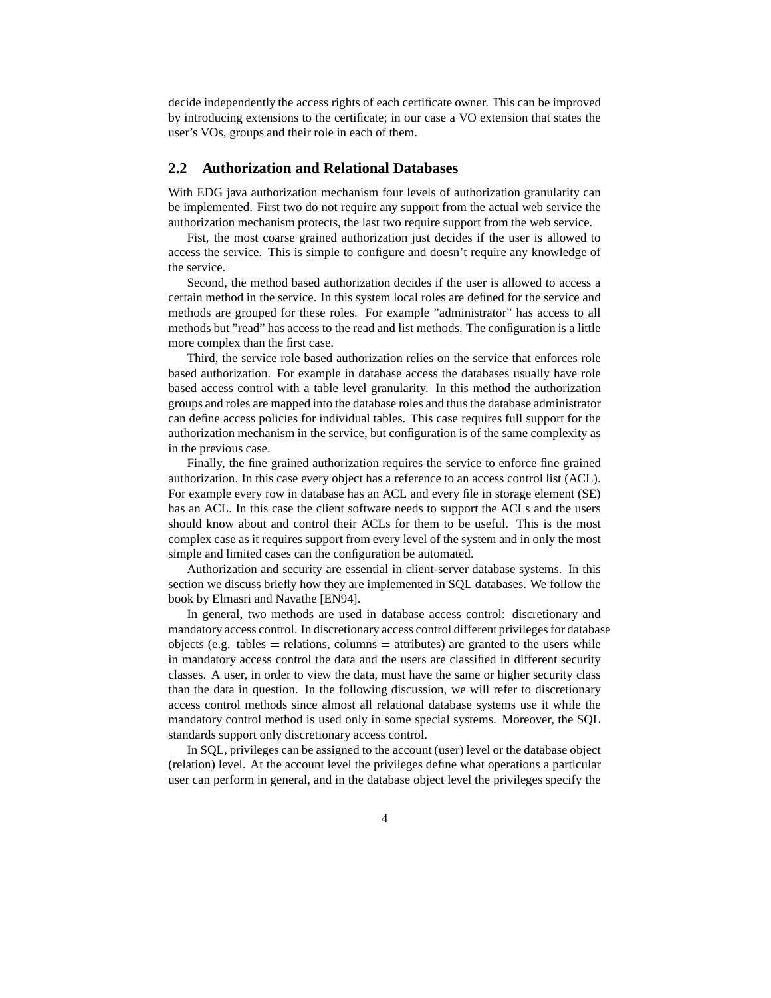decide independently the access rights of each certificate owner. This can be improved by introducing extensions to the certificate; in our case a VO extension that states the user's VOs, groups and their role in each of them.

### **2.2 Authorization and Relational Databases**

With EDG java authorization mechanism four levels of authorization granularity can be implemented. First two do not require any support from the actual web service the authorization mechanism protects, the last two require support from the web service.

Fist, the most coarse grained authorization just decides if the user is allowed to access the service. This is simple to configure and doesn't require any knowledge of the service.

Second, the method based authorization decides if the user is allowed to access a certain method in the service. In this system local roles are defined for the service and methods are grouped for these roles. For example "administrator" has access to all methods but "read" has access to the read and list methods. The configuration is a little more complex than the first case.

Third, the service role based authorization relies on the service that enforces role based authorization. For example in database access the databases usually have role based access control with a table level granularity. In this method the authorization groups and roles are mapped into the database roles and thus the database administrator can define access policies for individual tables. This case requires full support for the authorization mechanism in the service, but configuration is of the same complexity as in the previous case.

Finally, the fine grained authorization requires the service to enforce fine grained authorization. In this case every object has a reference to an access control list (ACL). For example every row in database has an ACL and every file in storage element (SE) has an ACL. In this case the client software needs to support the ACLs and the users should know about and control their ACLs for them to be useful. This is the most complex case as it requires support from every level of the system and in only the most simple and limited cases can the configuration be automated.

Authorization and security are essential in client-server database systems. In this section we discuss briefly how they are implemented in SQL databases. We follow the book by Elmasri and Navathe [EN94].

In general, two methods are used in database access control: discretionary and mandatory access control. In discretionary access control different privilegesfor database objects (e.g. tables  $=$  relations, columns  $=$  attributes) are granted to the users while in mandatory access control the data and the users are classified in different security classes. A user, in order to view the data, must have the same or higher security class than the data in question. In the following discussion, we will refer to discretionary access control methods since almost all relational database systems use it while the mandatory control method is used only in some special systems. Moreover, the SQL standards support only discretionary access control.

In SQL, privileges can be assigned to the account (user) level or the database object (relation) level. At the account level the privileges define what operations a particular user can perform in general, and in the database object level the privileges specify the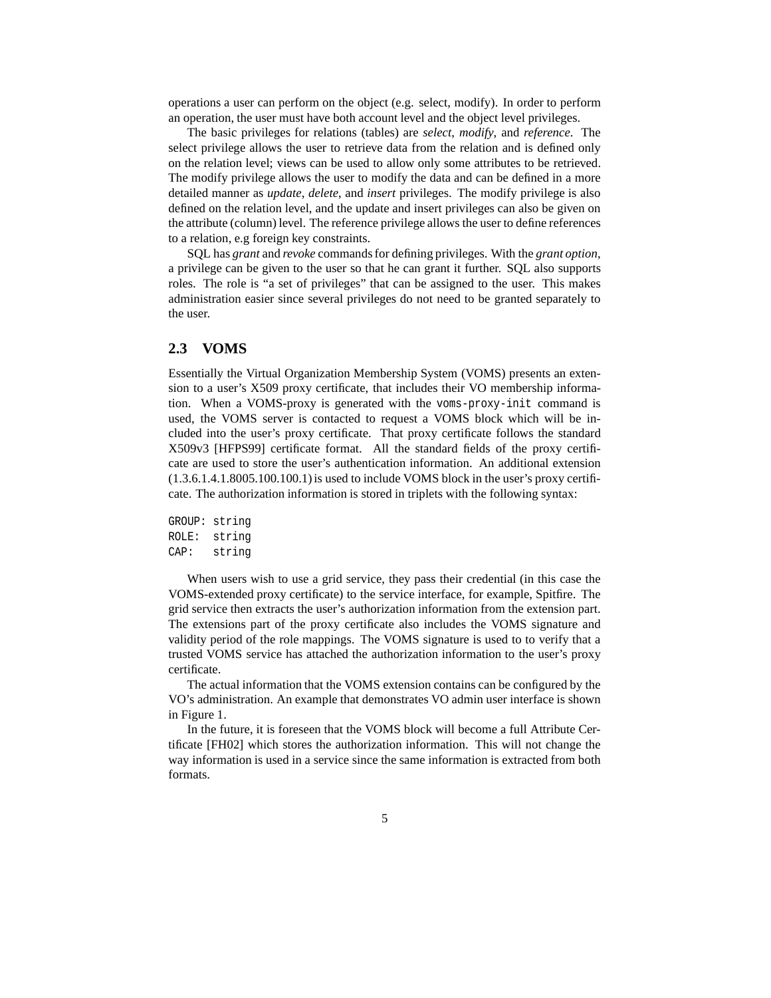operations a user can perform on the object (e.g. select, modify). In order to perform an operation, the user must have both account level and the object level privileges.

The basic privileges for relations (tables) are *select*, *modify*, and *reference*. The select privilege allows the user to retrieve data from the relation and is defined only on the relation level; views can be used to allow only some attributes to be retrieved. The modify privilege allows the user to modify the data and can be defined in a more detailed manner as *update*, *delete*, and *insert* privileges. The modify privilege is also defined on the relation level, and the update and insert privileges can also be given on the attribute (column) level. The reference privilege allows the user to define references to a relation, e.g foreign key constraints.

SQL has *grant* and *revoke* commands for defining privileges. With the *grant option*, a privilege can be given to the user so that he can grant it further. SQL also supports roles. The role is "a set of privileges" that can be assigned to the user. This makes administration easier since several privileges do not need to be granted separately to the user.

### **2.3 VOMS**

Essentially the Virtual Organization Membership System (VOMS) presents an extension to a user's X509 proxy certificate, that includes their VO membership information. When a VOMS-proxy is generated with the voms-proxy-init command is used, the VOMS server is contacted to request a VOMS block which will be included into the user's proxy certificate. That proxy certificate follows the standard X509v3 [HFPS99] certificate format. All the standard fields of the proxy certificate are used to store the user's authentication information. An additional extension  $(1.3.6.1.4.1.8005.100.100.1)$  is used to include VOMS block in the user's proxy certificate. The authorization information is stored in triplets with the following syntax:

```
GROUP: string
ROLE: string
CAP: string
```
When users wish to use a grid service, they pass their credential (in this case the VOMS-extended proxy certificate) to the service interface, for example, Spitfire. The grid service then extracts the user's authorization information from the extension part. The extensions part of the proxy certificate also includes the VOMS signature and validity period of the role mappings. The VOMS signature is used to to verify that a trusted VOMS service has attached the authorization information to the user's proxy certificate.

The actual information that the VOMS extension contains can be configured by the VO's administration. An example that demonstrates VO admin user interface is shown in Figure 1.

In the future, it is foreseen that the VOMS block will become a full Attribute Certificate [FH02] which stores the authorization information. This will not change the way information is used in a service since the same information is extracted from both formats.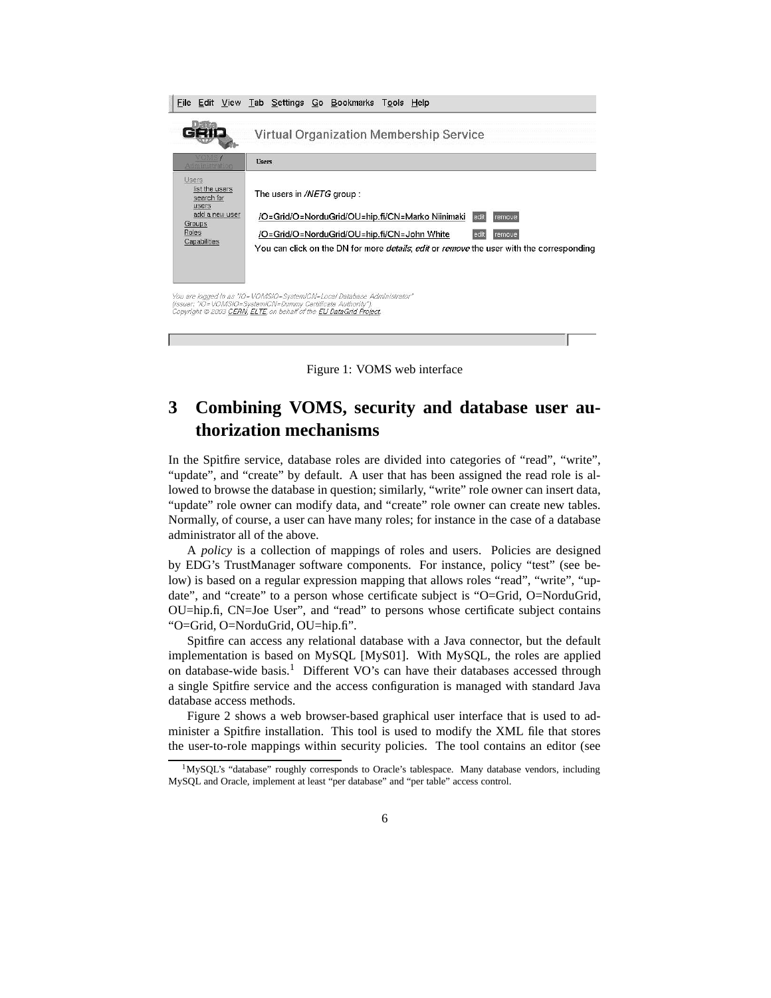|                                                                                                     | File Edit View Tab Settings Go Bookmarks Tools Help                                                                                                                                                                                                                |
|-----------------------------------------------------------------------------------------------------|--------------------------------------------------------------------------------------------------------------------------------------------------------------------------------------------------------------------------------------------------------------------|
|                                                                                                     | <b>Virtual Organization Membership Service</b>                                                                                                                                                                                                                     |
| Administration                                                                                      | <b>Users</b>                                                                                                                                                                                                                                                       |
| Users<br>list the users<br>search for<br>users<br>add a new user<br>Groups<br>Roles<br>Capabilities | The users in /NETG group:<br>/O=Grid/O=NorduGrid/OU=hip.fi/CN=Marko Niinimaki<br>edit<br>remove<br>/O=Grid/O=NorduGrid/OU=hip.fi/CN=John White<br>remove<br>You can click on the DN for more <i>details, edit</i> or <i>remove</i> the user with the corresponding |
|                                                                                                     | You are logged in as "IO=VOMSIO=SystemICN=Local Database Administrator"<br>(Issuer: "IO=VOMSIO=SystemICN=Dummy Certificate Authority").<br>Copyright @ 2003 CERN, ELTE, on behalf of the EU DataGrid Project.                                                      |

Figure 1: VOMS web interface

# **3 Combining VOMS, security and database user authorization mechanisms**

In the Spitfire service, database roles are divided into categories of "read", "write", "update", and "create" by default. A user that has been assigned the read role is allowed to browse the database in question; similarly, "write" role owner can insert data, "update" role owner can modify data, and "create" role owner can create new tables. Normally, of course, a user can have many roles; for instance in the case of a database administrator all of the above.

A *policy* is a collection of mappings of roles and users. Policies are designed by EDG's TrustManager software components. For instance, policy "test" (see below) is based on a regular expression mapping that allows roles "read", "write", "update", and "create" to a person whose certificate subject is "O=Grid, O=NorduGrid, OU=hip.fi, CN=Joe User", and "read" to persons whose certificate subject contains "O=Grid, O=NorduGrid, OU=hip.fi".

Spitfire can access any relational database with a Java connector, but the default implementation is based on MySQL [MyS01]. With MySQL, the roles are applied on database-wide basis.<sup>1</sup> Different VO's can have their databases accessed through a single Spitfire service and the access configuration is managed with standard Java database access methods.

Figure 2 shows a web browser-based graphical user interface that is used to administer a Spitfire installation. This tool is used to modify the XML file that stores the user-to-role mappings within security policies. The tool contains an editor (see

<sup>&</sup>lt;sup>1</sup>MySQL's "database" roughly corresponds to Oracle's tablespace. Many database vendors, including MySQL and Oracle, implement at least "per database" and "per table" access control.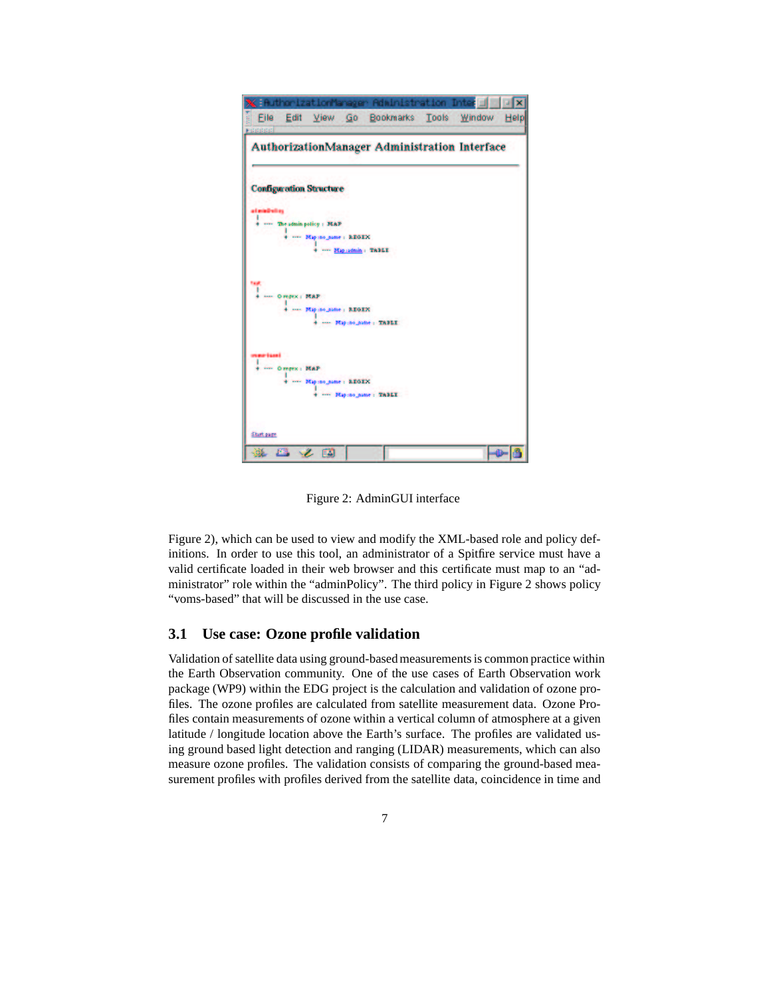

Figure 2: AdminGUI interface

Figure 2), which can be used to view and modify the XML-based role and policy definitions. In order to use this tool, an administrator of a Spitfire service must have a valid certificate loaded in their web browser and this certificate must map to an "administrator" role within the "adminPolicy". The third policy in Figure 2 shows policy "voms-based" that will be discussed in the use case.

### **3.1 Use case: Ozone profile validation**

Validation of satellite data using ground-based measurements is common practice within the Earth Observation community. One of the use cases of Earth Observation work package (WP9) within the EDG project is the calculation and validation of ozone profiles. The ozone profiles are calculated from satellite measurement data. Ozone Profiles contain measurements of ozone within a vertical column of atmosphere at a given latitude / longitude location above the Earth's surface. The profiles are validated using ground based light detection and ranging (LIDAR) measurements, which can also measure ozone profiles. The validation consists of comparing the ground-based measurement profiles with profiles derived from the satellite data, coincidence in time and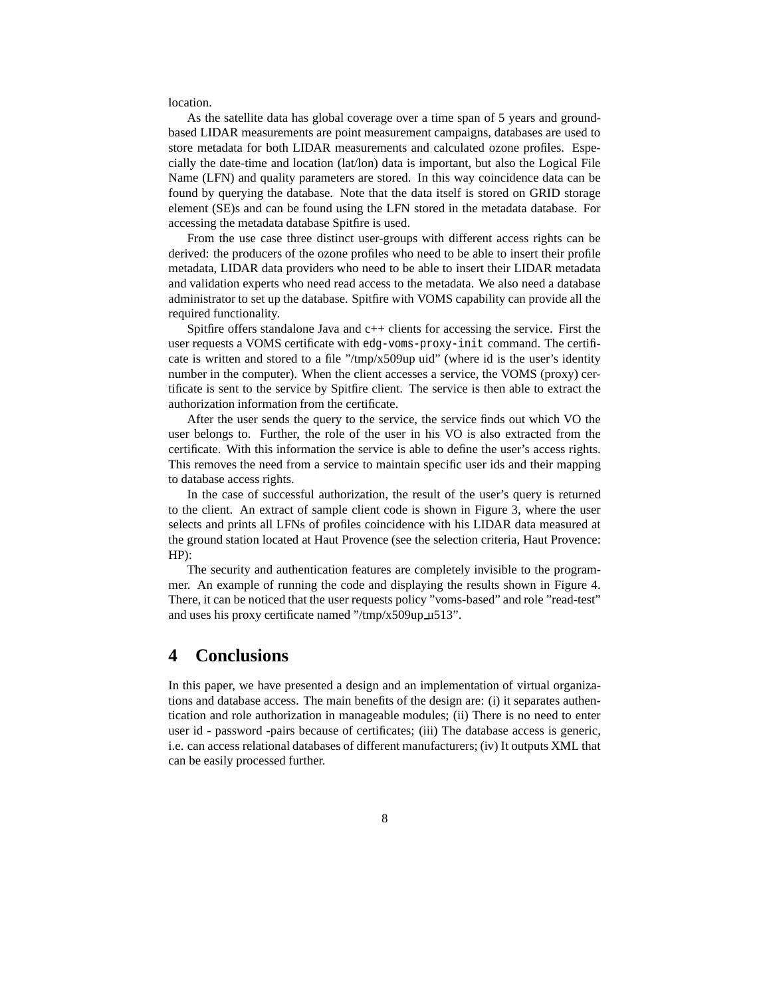#### location.

As the satellite data has global coverage over a time span of 5 years and groundbased LIDAR measurements are point measurement campaigns, databases are used to store metadata for both LIDAR measurements and calculated ozone profiles. Especially the date-time and location (lat/lon) data is important, but also the Logical File Name (LFN) and quality parameters are stored. In this way coincidence data can be found by querying the database. Note that the data itself is stored on GRID storage element (SE)s and can be found using the LFN stored in the metadata database. For accessing the metadata database Spitfire is used.

From the use case three distinct user-groups with different access rights can be derived: the producers of the ozone profiles who need to be able to insert their profile metadata, LIDAR data providers who need to be able to insert their LIDAR metadata and validation experts who need read access to the metadata. We also need a database administrator to set up the database. Spitfire with VOMS capability can provide all the required functionality.

Spitfire offers standalone Java and  $c++$  clients for accessing the service. First the user requests a VOMS certificate with edg-voms-proxy-init command. The certificate is written and stored to a file "/tmp/x509up uid" (where id is the user's identity number in the computer). When the client accesses a service, the VOMS (proxy) certificate is sent to the service by Spitfire client. The service is then able to extract the authorization information from the certificate.

After the user sends the query to the service, the service finds out which VO the user belongs to. Further, the role of the user in his VO is also extracted from the certificate. With this information the service is able to define the user's access rights. This removes the need from a service to maintain specific user ids and their mapping to database access rights.

In the case of successful authorization, the result of the user's query is returned to the client. An extract of sample client code is shown in Figure 3, where the user selects and prints all LFNs of profiles coincidence with his LIDAR data measured at the ground station located at Haut Provence (see the selection criteria, Haut Provence: HP):

The security and authentication features are completely invisible to the programmer. An example of running the code and displaying the results shown in Figure 4. There, it can be noticed that the user requests policy "voms-based" and role "read-test" and uses his proxy certificate named "/tmp/x509up u513".

### **4 Conclusions**

In this paper, we have presented a design and an implementation of virtual organizations and database access. The main benefits of the design are: (i) it separates authentication and role authorization in manageable modules; (ii) There is no need to enter user id - password -pairs because of certificates; (iii) The database access is generic, i.e. can access relational databases of different manufacturers; (iv) It outputs XML that can be easily processed further.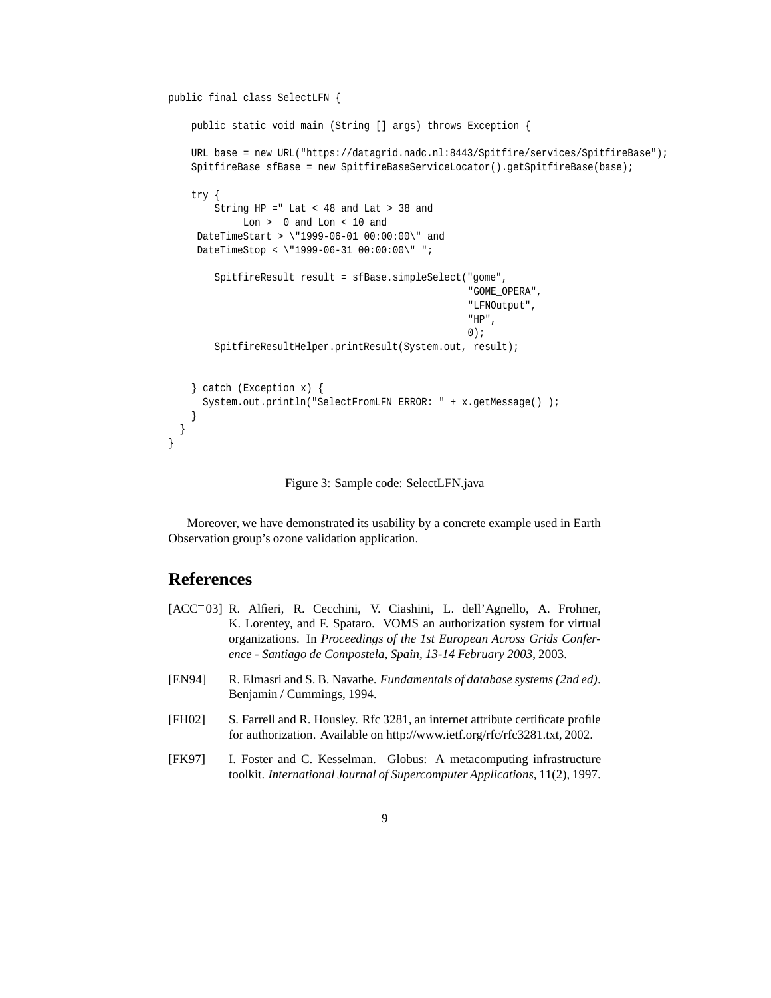```
public final class SelectLFN {
    public static void main (String [] args) throws Exception {
    URL base = new URL("https://datagrid.nadc.nl:8443/Spitfire/services/SpitfireBase");
    SpitfireBase sfBase = new SpitfireBaseServiceLocator().getSpitfireBase(base);
    try {
        String HP =" Lat < 48 and Lat > 38 and
            Lon > 0 and Lon < 10 and
     DateTimeStart > \"1999-06-01 00:00:00\" and
     DateTimeStop < \"1999-06-31 00:00:00\" ";
        SpitfireResult result = sfBase.simpleSelect("gome",
                                                     "GOME_OPERA",
                                                     "LFNOutput",
                                                     "HP",
                                                     0);
        SpitfireResultHelper.printResult(System.out, result);
    } catch (Exception x) {
      System.out.println("SelectFromLFN ERROR: " + x.getMessage() );
    }
  }
}
```
Figure 3: Sample code: SelectLFN.java

Moreover, we have demonstrated its usability by a concrete example used in Earth Observation group's ozone validation application.

# **References**

- [ACC 03] R. Alfieri, R. Cecchini, V. Ciashini, L. dell'Agnello, A. Frohner, K. Lorentey, and F. Spataro. VOMS an authorization system for virtual organizations. In *Proceedings of the 1st European Across Grids Conference - Santiago de Compostela, Spain, 13-14 February 2003*, 2003.
- [EN94] R. Elmasri and S. B. Navathe. *Fundamentals of database systems (2nd ed)*. Benjamin / Cummings, 1994.
- [FH02] S. Farrell and R. Housley. Rfc 3281, an internet attribute certificate profile for authorization. Available on http://www.ietf.org/rfc/rfc3281.txt, 2002.
- [FK97] I. Foster and C. Kesselman. Globus: A metacomputing infrastructure toolkit. *International Journal of Supercomputer Applications*, 11(2), 1997.